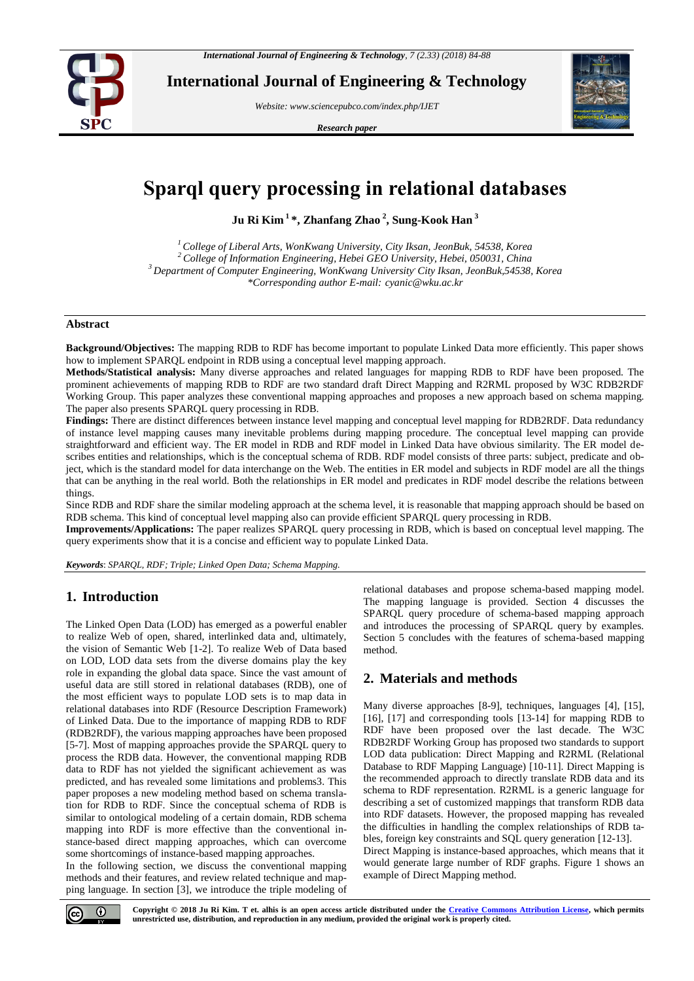

**International Journal of Engineering & Technology**

*Website: www.sciencepubco.com/index.php/IJET* 

*Research paper*



# **Sparql query processing in relational databases**

**Ju Ri Kim <sup>1</sup>\*, Zhanfang Zhao <sup>2</sup> , Sung-Kook Han <sup>3</sup>**

*College of Liberal Arts, WonKwang University, City Iksan, JeonBuk, 54538, Korea College of Information Engineering, Hebei GEO University, Hebei, 050031, China Department of Computer Engineering, WonKwang University, City Iksan, JeonBuk,54538, Korea \*Corresponding author E-mail: cyanic@wku.ac.kr*

## **Abstract**

**Background/Objectives:** The mapping RDB to RDF has become important to populate Linked Data more efficiently. This paper shows how to implement SPARQL endpoint in RDB using a conceptual level mapping approach.

**Methods/Statistical analysis:** Many diverse approaches and related languages for mapping RDB to RDF have been proposed. The prominent achievements of mapping RDB to RDF are two standard draft Direct Mapping and R2RML proposed by W3C RDB2RDF Working Group. This paper analyzes these conventional mapping approaches and proposes a new approach based on schema mapping. The paper also presents SPARQL query processing in RDB.

**Findings:** There are distinct differences between instance level mapping and conceptual level mapping for RDB2RDF. Data redundancy of instance level mapping causes many inevitable problems during mapping procedure. The conceptual level mapping can provide straightforward and efficient way. The ER model in RDB and RDF model in Linked Data have obvious similarity. The ER model describes entities and relationships, which is the conceptual schema of RDB. RDF model consists of three parts: subject, predicate and object, which is the standard model for data interchange on the Web. The entities in ER model and subjects in RDF model are all the things that can be anything in the real world. Both the relationships in ER model and predicates in RDF model describe the relations between things.

Since RDB and RDF share the similar modeling approach at the schema level, it is reasonable that mapping approach should be based on RDB schema. This kind of conceptual level mapping also can provide efficient SPARQL query processing in RDB.

**Improvements/Applications:** The paper realizes SPARQL query processing in RDB, which is based on conceptual level mapping. The query experiments show that it is a concise and efficient way to populate Linked Data.

*Keywords*: *SPARQL, RDF; Triple; Linked Open Data; Schema Mapping.*

# **1. Introduction**

The Linked Open Data (LOD) has emerged as a powerful enabler to realize Web of open, shared, interlinked data and, ultimately, the vision of Semantic Web [1-2]. To realize Web of Data based on LOD, LOD data sets from the diverse domains play the key role in expanding the global data space. Since the vast amount of useful data are still stored in relational databases (RDB), one of the most efficient ways to populate LOD sets is to map data in relational databases into RDF (Resource Description Framework) of Linked Data. Due to the importance of mapping RDB to RDF (RDB2RDF), the various mapping approaches have been proposed [5-7]. Most of mapping approaches provide the SPARQL query to process the RDB data. However, the conventional mapping RDB data to RDF has not yielded the significant achievement as was predicted, and has revealed some limitations and problems3. This paper proposes a new modeling method based on schema translation for RDB to RDF. Since the conceptual schema of RDB is similar to ontological modeling of a certain domain, RDB schema mapping into RDF is more effective than the conventional instance-based direct mapping approaches, which can overcome some shortcomings of instance-based mapping approaches.

In the following section, we discuss the conventional mapping methods and their features, and review related technique and mapping language. In section [3], we introduce the triple modeling of relational databases and propose schema-based mapping model. The mapping language is provided. Section 4 discusses the SPARQL query procedure of schema-based mapping approach and introduces the processing of SPARQL query by examples. Section 5 concludes with the features of schema-based mapping method.

# **2. Materials and methods**

Many diverse approaches [8-9], techniques, languages [4], [15], [16], [17] and corresponding tools [13-14] for mapping RDB to RDF have been proposed over the last decade. The W3C RDB2RDF Working Group has proposed two standards to support LOD data publication: Direct Mapping and R2RML (Relational Database to RDF Mapping Language) [10-11]. Direct Mapping is the recommended approach to directly translate RDB data and its schema to RDF representation. R2RML is a generic language for describing a set of customized mappings that transform RDB data into RDF datasets. However, the proposed mapping has revealed the difficulties in handling the complex relationships of RDB tables, foreign key constraints and SQL query generation [12-13]. Direct Mapping is instance-based approaches, which means that it would generate large number of RDF graphs. Figure 1 shows an example of Direct Mapping method.

 $\odot$ 

**Copyright © 2018 Ju Ri Kim. T et. alhis is an open access article distributed under the Creative Commons Attribution License, which permits unrestricted use, distribution, and reproduction in any medium, provided the original work is properly cited.**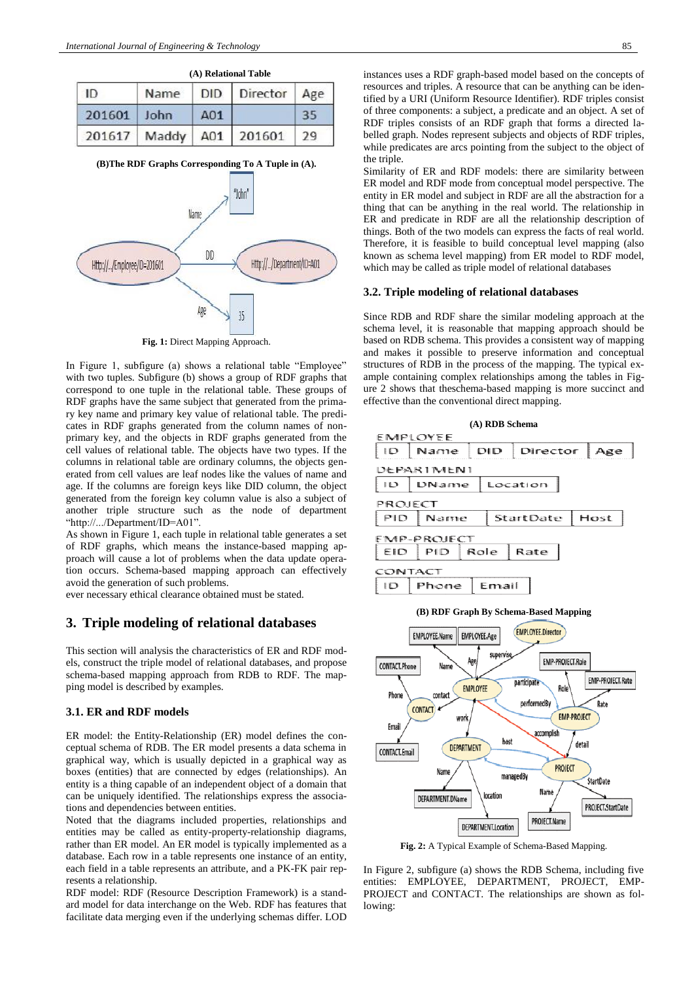|        | (A) Relational Table |     |                      |            |  |  |  |
|--------|----------------------|-----|----------------------|------------|--|--|--|
| -ID    | Name                 |     | DID Director         | Age<br>-35 |  |  |  |
| 201601 | John                 | A01 |                      |            |  |  |  |
| 201617 |                      |     | Maddy   A01   201601 | 79         |  |  |  |

**(B)The RDF Graphs Corresponding To A Tuple in (A).**



In Figure 1, subfigure (a) shows a relational table "Employee" with two tuples. Subfigure (b) shows a group of RDF graphs that correspond to one tuple in the relational table. These groups of RDF graphs have the same subject that generated from the primary key name and primary key value of relational table. The predicates in RDF graphs generated from the column names of nonprimary key, and the objects in RDF graphs generated from the cell values of relational table. The objects have two types. If the columns in relational table are ordinary columns, the objects generated from cell values are leaf nodes like the values of name and age. If the columns are foreign keys like DID column, the object generated from the foreign key column value is also a subject of another triple structure such as the node of department "http://.../Department/ID=A01".

As shown in Figure 1, each tuple in relational table generates a set of RDF graphs, which means the instance-based mapping approach will cause a lot of problems when the data update operation occurs. Schema-based mapping approach can effectively avoid the generation of such problems.

ever necessary ethical clearance obtained must be stated.

#### **3. Triple modeling of relational databases**

This section will analysis the characteristics of ER and RDF models, construct the triple model of relational databases, and propose schema-based mapping approach from RDB to RDF. The mapping model is described by examples.

#### **3.1. ER and RDF models**

ER model: the Entity-Relationship (ER) model defines the conceptual schema of RDB. The ER model presents a data schema in graphical way, which is usually depicted in a graphical way as boxes (entities) that are connected by edges (relationships). An entity is a thing capable of an independent object of a domain that can be uniquely identified. The relationships express the associations and dependencies between entities.

Noted that the diagrams included properties, relationships and entities may be called as entity-property-relationship diagrams, rather than ER model. An ER model is typically implemented as a database. Each row in a table represents one instance of an entity, each field in a table represents an attribute, and a PK-FK pair represents a relationship.

RDF model: RDF (Resource Description Framework) is a standard model for data interchange on the Web. RDF has features that facilitate data merging even if the underlying schemas differ. LOD instances uses a RDF graph-based model based on the concepts of resources and triples. A resource that can be anything can be identified by a URI (Uniform Resource Identifier). RDF triples consist of three components: a subject, a predicate and an object. A set of RDF triples consists of an RDF graph that forms a directed labelled graph. Nodes represent subjects and objects of RDF triples, while predicates are arcs pointing from the subject to the object of the triple.

Similarity of ER and RDF models: there are similarity between ER model and RDF mode from conceptual model perspective. The entity in ER model and subject in RDF are all the abstraction for a thing that can be anything in the real world. The relationship in ER and predicate in RDF are all the relationship description of things. Both of the two models can express the facts of real world. Therefore, it is feasible to build conceptual level mapping (also known as schema level mapping) from ER model to RDF model, which may be called as triple model of relational databases

#### **3.2. Triple modeling of relational databases**

Since RDB and RDF share the similar modeling approach at the schema level, it is reasonable that mapping approach should be based on RDB schema. This provides a consistent way of mapping and makes it possible to preserve information and conceptual structures of RDB in the process of the mapping. The typical example containing complex relationships among the tables in Figure 2 shows that theschema-based mapping is more succinct and effective than the conventional direct mapping.





**Fig. 2:** A Typical Example of Schema-Based Mapping.

In Figure 2, subfigure (a) shows the RDB Schema, including five entities: EMPLOYEE, DEPARTMENT, PROJECT, EMP-PROJECT and CONTACT. The relationships are shown as following: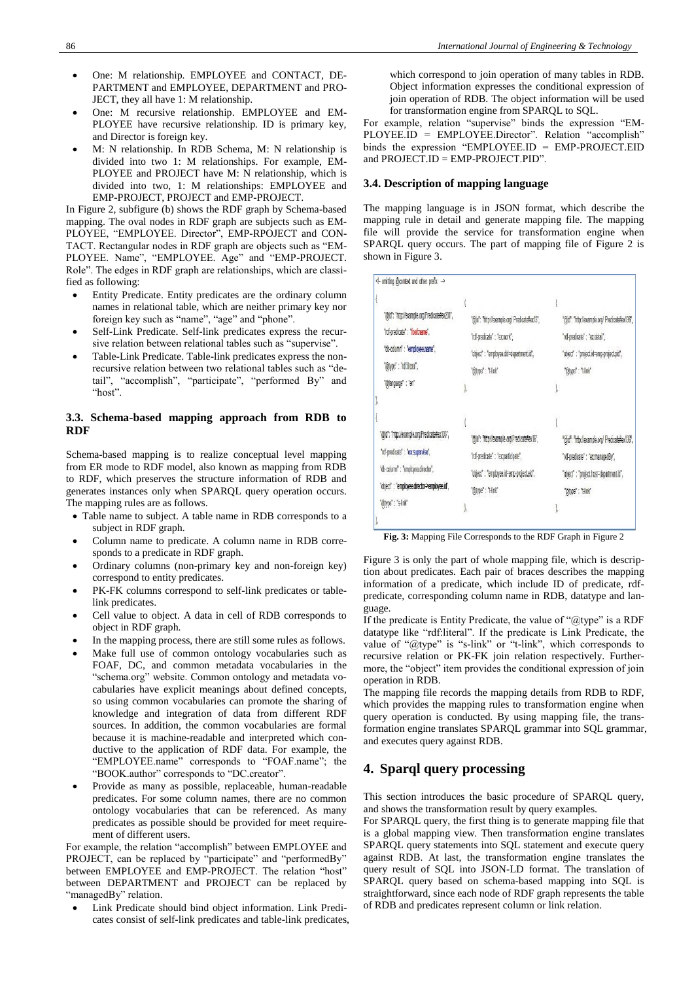- One: M relationship. EMPLOYEE and CONTACT, DE-PARTMENT and EMPLOYEE, DEPARTMENT and PRO-JECT, they all have 1: M relationship.
- One: M recursive relationship. EMPLOYEE and EM-PLOYEE have recursive relationship. ID is primary key, and Director is foreign key.
- M: N relationship. In RDB Schema, M: N relationship is divided into two 1: M relationships. For example, EM-PLOYEE and PROJECT have M: N relationship, which is divided into two, 1: M relationships: EMPLOYEE and EMP-PROJECT, PROJECT and EMP-PROJECT.

In Figure 2, subfigure (b) shows the RDF graph by Schema-based mapping. The oval nodes in RDF graph are subjects such as EM-PLOYEE, "EMPLOYEE. Director", EMP-RPOJECT and CON-TACT. Rectangular nodes in RDF graph are objects such as "EM-PLOYEE. Name", "EMPLOYEE. Age" and "EMP-PROJECT. Role". The edges in RDF graph are relationships, which are classified as following:

- Entity Predicate. Entity predicates are the ordinary column names in relational table, which are neither primary key nor foreign key such as "name", "age" and "phone".
- Self-Link Predicate. Self-link predicates express the recursive relation between relational tables such as "supervise".
- Table-Link Predicate. Table-link predicates express the nonrecursive relation between two relational tables such as "detail", "accomplish", "participate", "performed By" and "host".

## **3.3. Schema-based mapping approach from RDB to RDF**

Schema-based mapping is to realize conceptual level mapping from ER mode to RDF model, also known as mapping from RDB to RDF, which preserves the structure information of RDB and generates instances only when SPARQL query operation occurs. The mapping rules are as follows.

- Table name to subject. A table name in RDB corresponds to a subject in RDF graph.
- Column name to predicate. A column name in RDB corresponds to a predicate in RDF graph.
- Ordinary columns (non-primary key and non-foreign key) correspond to entity predicates.
- PK-FK columns correspond to self-link predicates or tablelink predicates.
- Cell value to object. A data in cell of RDB corresponds to object in RDF graph.
- In the mapping process, there are still some rules as follows.
- Make full use of common ontology vocabularies such as FOAF, DC, and common metadata vocabularies in the "schema.org" website. Common ontology and metadata vocabularies have explicit meanings about defined concepts, so using common vocabularies can promote the sharing of knowledge and integration of data from different RDF sources. In addition, the common vocabularies are formal because it is machine-readable and interpreted which conductive to the application of RDF data. For example, the "EMPLOYEE.name" corresponds to "FOAF.name"; the "BOOK.author" corresponds to "DC.creator".
- Provide as many as possible, replaceable, human-readable predicates. For some column names, there are no common ontology vocabularies that can be referenced. As many predicates as possible should be provided for meet requirement of different users.

For example, the relation "accomplish" between EMPLOYEE and PROJECT, can be replaced by "participate" and "performedBy" between EMPLOYEE and EMP-PROJECT. The relation "host" between DEPARTMENT and PROJECT can be replaced by "managedBy" relation.

 Link Predicate should bind object information. Link Predicates consist of self-link predicates and table-link predicates,

which correspond to join operation of many tables in RDB. Object information expresses the conditional expression of join operation of RDB. The object information will be used for transformation engine from SPARQL to SQL.

For example, relation "supervise" binds the expression "EM-PLOYEE.ID = EMPLOYEE.Director". Relation "accomplish" binds the expression "EMPLOYEE.ID = EMP-PROJECT.EID and PROJECT.ID = EMP-PROJECT.PID".

#### **3.4. Description of mapping language**

The mapping language is in JSON format, which describe the mapping rule in detail and generate mapping file. The mapping file will provide the service for transformation engine when SPARQL query occurs. The part of mapping file of Figure 2 is shown in Figure 3.

| "@id": "http://example.org/ Predicate#ex13", |                                               |
|----------------------------------------------|-----------------------------------------------|
|                                              | "@id": "http://example.org/ Predicate#ex136", |
| "rdi-predicate" : "ex:work",                 | "rdf-predicate" : "ex:detail",                |
| "object" : "employee.did=department.id",     | "object" : "project.id=emp-project.pid",      |
| "@type": "Hink"                              | "@type": "I-link"                             |
|                                              |                                               |
|                                              |                                               |
|                                              |                                               |
| "@id": "http://example.org/Predicate#ex16",  | "@id": "http://example.org/ Predicate#ex136", |
| "rdi-predicate" : "ex:participate",          | "rdf-predicate" : "ex:managedBy",             |
| "object" : "employee.id=emp-project.eid",    | "object" : "project.host=department.id",      |
| "@type" : "t-link"                           | "@type" : "t-link"                            |
| h                                            |                                               |
|                                              |                                               |

**Fig. 3:** Mapping File Corresponds to the RDF Graph in Figure 2

Figure 3 is only the part of whole mapping file, which is description about predicates. Each pair of braces describes the mapping information of a predicate, which include ID of predicate, rdfpredicate, corresponding column name in RDB, datatype and language.

If the predicate is Entity Predicate, the value of " $@$ type" is a RDF datatype like "rdf:literal". If the predicate is Link Predicate, the value of "@type" is "s-link" or "t-link", which corresponds to recursive relation or PK-FK join relation respectively. Furthermore, the "object" item provides the conditional expression of join operation in RDB.

The mapping file records the mapping details from RDB to RDF, which provides the mapping rules to transformation engine when query operation is conducted. By using mapping file, the transformation engine translates SPARQL grammar into SQL grammar, and executes query against RDB.

## **4. Sparql query processing**

This section introduces the basic procedure of SPARQL query, and shows the transformation result by query examples.

For SPARQL query, the first thing is to generate mapping file that is a global mapping view. Then transformation engine translates SPARQL query statements into SQL statement and execute query against RDB. At last, the transformation engine translates the query result of SQL into JSON-LD format. The translation of SPARQL query based on schema-based mapping into SQL is straightforward, since each node of RDF graph represents the table of RDB and predicates represent column or link relation.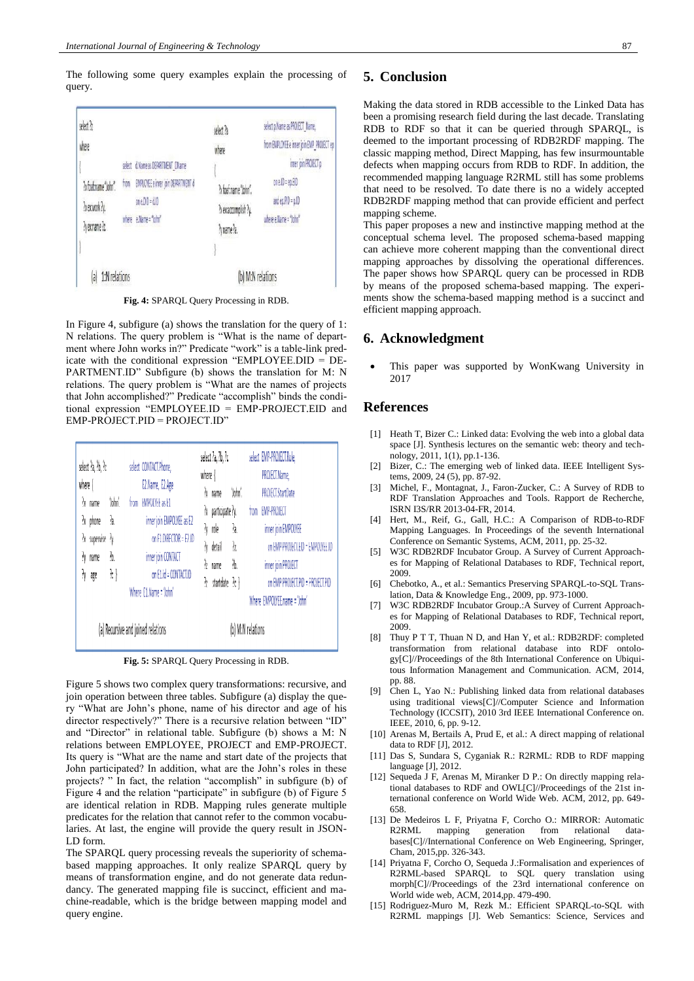The following some query examples explain the processing of query.



**Fig. 4:** SPARQL Query Processing in RDB.

In Figure 4, subfigure (a) shows the translation for the query of 1: N relations. The query problem is "What is the name of department where John works in?" Predicate "work" is a table-link predicate with the conditional expression "EMPLOYEE.DID = DE-PARTMENT.ID" Subfigure (b) shows the translation for M: N relations. The query problem is "What are the names of projects that John accomplished?" Predicate "accomplish" binds the conditional expression "EMPLOYEE.ID = EMP-PROJECT.EID and EMP-PROJECT.PID = PROJECT.ID"

| where $\{$<br>łχ<br>łχ<br>N        | select ?a, ?b, ?c<br>name<br>$\frac{1}{2}x$ phone<br>supervise ?y.<br>name<br>age | 'John'<br>ą,<br>76,<br>7t } | trom | select CONTACT.Phone,<br>E2.Name, E2.Age<br><b>EMPOLYEE as E1</b><br>inner join EMPOLYEE as E2<br>on F1.DIRECTOR = E2.ID<br>inner join CONTACT<br>on E1.id = CONTACT.ID<br>Where E1.Name = 'John' | where {<br>h<br>ķ | select ?a, ?b, ?c<br>?x name<br>?x participate ?y.<br>$\lambda$ role<br>ly detail<br>name<br>startdate ?c } | 'John'.<br>ą,<br>'n.<br>76. | select EMP-PROJECT.Role,<br>PROJECT.Name,<br>PROJECT.StartDate<br>from EMP-PROJECT<br>inner join EMPOLYEE<br>on EMP-PROJECTEID - EMPOLYEE.ID<br>inner join PROJECT<br>on EMP-PROJECT.PID = PROJECT.PID<br>Where EMPOLYEE.name = 'John' |
|------------------------------------|-----------------------------------------------------------------------------------|-----------------------------|------|---------------------------------------------------------------------------------------------------------------------------------------------------------------------------------------------------|-------------------|-------------------------------------------------------------------------------------------------------------|-----------------------------|----------------------------------------------------------------------------------------------------------------------------------------------------------------------------------------------------------------------------------------|
| (a) Recursive and joined relations |                                                                                   |                             |      |                                                                                                                                                                                                   |                   |                                                                                                             | (b) M:N relations           |                                                                                                                                                                                                                                        |

**Fig. 5:** SPARQL Query Processing in RDB.

Figure 5 shows two complex query transformations: recursive, and join operation between three tables. Subfigure (a) display the query "What are John's phone, name of his director and age of his director respectively?" There is a recursive relation between "ID" and "Director" in relational table. Subfigure (b) shows a M: N relations between EMPLOYEE, PROJECT and EMP-PROJECT. Its query is "What are the name and start date of the projects that John participated? In addition, what are the John's roles in these projects? " In fact, the relation "accomplish" in subfigure (b) of Figure 4 and the relation "participate" in subfigure (b) of Figure 5 are identical relation in RDB. Mapping rules generate multiple predicates for the relation that cannot refer to the common vocabularies. At last, the engine will provide the query result in JSON-LD form.

The SPARQL query processing reveals the superiority of schemabased mapping approaches. It only realize SPARQL query by means of transformation engine, and do not generate data redundancy. The generated mapping file is succinct, efficient and machine-readable, which is the bridge between mapping model and query engine.

## **5. Conclusion**

Making the data stored in RDB accessible to the Linked Data has been a promising research field during the last decade. Translating RDB to RDF so that it can be queried through SPARQL, is deemed to the important processing of RDB2RDF mapping. The classic mapping method, Direct Mapping, has few insurmountable defects when mapping occurs from RDB to RDF. In addition, the recommended mapping language R2RML still has some problems that need to be resolved. To date there is no a widely accepted RDB2RDF mapping method that can provide efficient and perfect mapping scheme.

This paper proposes a new and instinctive mapping method at the conceptual schema level. The proposed schema-based mapping can achieve more coherent mapping than the conventional direct mapping approaches by dissolving the operational differences. The paper shows how SPARQL query can be processed in RDB by means of the proposed schema-based mapping. The experiments show the schema-based mapping method is a succinct and efficient mapping approach.

#### **6. Acknowledgment**

 This paper was supported by WonKwang University in 2017

#### **References**

- [1] Heath T, Bizer C.: Linked data: Evolving the web into a global data space [J]. Synthesis lectures on the semantic web: theory and technology, 2011, 1(1), pp.1-136.
- [2] Bizer, C.: The emerging web of linked data. IEEE Intelligent Systems, 2009, 24 (5), pp. 87-92.
- [3] Michel, F., Montagnat, J., Faron-Zucker, C.: A Survey of RDB to RDF Translation Approaches and Tools. Rapport de Recherche, ISRN I3S/RR 2013-04-FR, 2014.
- [4] Hert, M., Reif, G., Gall, H.C.: A Comparison of RDB-to-RDF Mapping Languages. In Proceedings of the seventh International Conference on Semantic Systems, ACM, 2011, pp. 25-32.
- [5] W3C RDB2RDF Incubator Group. A Survey of Current Approaches for Mapping of Relational Databases to RDF, Technical report, 2009.
- [6] Chebotko, A., et al.: Semantics Preserving SPARQL-to-SQL Translation, Data & Knowledge Eng., 2009, pp. 973-1000.
- [7] W3C RDB2RDF Incubator Group.:A Survey of Current Approaches for Mapping of Relational Databases to RDF, Technical report, 2009.
- [8] Thuy P T T, Thuan N D, and Han Y, et al.: RDB2RDF: completed transformation from relational database into RDF ontology[C]//Proceedings of the 8th International Conference on Ubiquitous Information Management and Communication. ACM, 2014, pp. 88.
- [9] Chen L, Yao N.: Publishing linked data from relational databases using traditional views[C]//Computer Science and Information Technology (ICCSIT), 2010 3rd IEEE International Conference on. IEEE, 2010, 6, pp. 9-12.
- [10] Arenas M, Bertails A, Prud E, et al.: A direct mapping of relational data to RDF [J], 2012.
- [11] Das S, Sundara S, Cyganiak R.: R2RML: RDB to RDF mapping language [J], 2012.
- [12] Sequeda J F, Arenas M, Miranker D P.: On directly mapping relational databases to RDF and OWL[C]//Proceedings of the 21st international conference on World Wide Web. ACM, 2012, pp. 649- 658.
- [13] De Medeiros L F, Priyatna F, Corcho O.: MIRROR: Automatic R2RML mapping generation from relational databases[C]//International Conference on Web Engineering, Springer, Cham, 2015,pp. 326-343.
- [14] Priyatna F, Corcho O, Sequeda J.:Formalisation and experiences of R2RML-based SPARQL to SQL query translation using morph[C]//Proceedings of the 23rd international conference on World wide web, ACM, 2014,pp. 479-490.
- [15] Rodriguez-Muro M, Rezk M.: Efficient SPARQL-to-SQL with R2RML mappings [J]. Web Semantics: Science, Services and